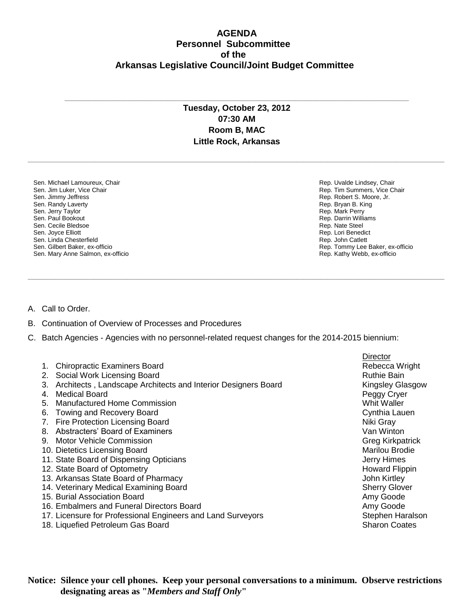## **AGENDA Personnel Subcommittee of the Arkansas Legislative Council/Joint Budget Committee**

## **Tuesday, October 23, 2012 07:30 AM Room B, MAC Little Rock, Arkansas**

**\_\_\_\_\_\_\_\_\_\_\_\_\_\_\_\_\_\_\_\_\_\_\_\_\_\_\_\_\_\_\_\_\_\_\_\_\_\_\_\_\_\_\_\_\_\_\_\_\_\_\_\_\_\_\_\_\_\_\_\_\_\_\_\_\_\_\_\_\_\_\_\_\_\_\_\_\_\_\_\_\_\_\_\_\_\_\_\_\_\_\_\_\_\_\_\_\_\_\_\_\_\_\_\_\_\_\_\_\_\_\_\_\_\_\_\_\_\_\_\_\_**

**\_\_\_\_\_\_\_\_\_\_\_\_\_\_\_\_\_\_\_\_\_\_\_\_\_\_\_\_\_\_\_\_\_\_\_\_\_\_\_\_\_\_\_\_\_\_\_\_\_\_\_\_\_\_\_\_\_\_\_\_\_\_\_\_\_\_\_\_\_\_\_\_\_\_\_\_\_\_\_\_\_\_\_\_\_\_\_\_\_\_\_\_\_\_\_\_\_\_\_\_\_\_\_\_\_\_\_\_\_\_\_\_\_\_\_\_\_\_\_\_\_**

**\_\_\_\_\_\_\_\_\_\_\_\_\_\_\_\_\_\_\_\_\_\_\_\_\_\_\_\_\_\_\_\_\_\_\_\_\_\_\_\_\_\_\_\_\_\_\_\_\_\_\_\_\_\_\_\_\_\_\_\_\_\_\_\_\_\_\_\_\_\_\_\_\_\_\_\_\_\_\_\_\_\_\_\_\_\_\_\_\_\_\_\_\_\_\_\_\_\_\_\_**

Sen. Michael Lamoureux, Chair Sen. Jim Luker, Vice Chair Sen. Jimmy Jeffress Sen. Randy Laverty Sen. Jerry Taylor Sen. Paul Bookout Sen. Cecile Bledsoe Sen. Joyce Elliott Sen. Linda Chesterfield Sen. Gilbert Baker, ex-officio Sen. Mary Anne Salmon, ex-officio Rep. Uvalde Lindsey, Chair Rep. Tim Summers, Vice Chair Rep. Robert S. Moore, Jr. Rep. Bryan B. King Rep. Mark Perry Rep. Darrin Williams Rep. Nate Steel Rep. Lori Benedict Rep. John Catlett Rep. Tommy Lee Baker, ex-officio Rep. Kathy Webb, ex-officio

- A. Call to Order.
- B. Continuation of Overview of Processes and Procedures
- C. Batch Agencies Agencies with no personnel-related request changes for the 2014-2015 biennium:

|                                                                     | <b>Director</b>         |
|---------------------------------------------------------------------|-------------------------|
| <b>Chiropractic Examiners Board</b>                                 | Rebecca Wright          |
| Social Work Licensing Board<br>2.                                   | <b>Ruthie Bain</b>      |
| Architects, Landscape Architects and Interior Designers Board<br>3. | <b>Kingsley Glasgow</b> |
| Medical Board<br>4.                                                 | Peggy Cryer             |
| Manufactured Home Commission<br>5.                                  | Whit Waller             |
| <b>Towing and Recovery Board</b><br>6.                              | Cynthia Lauen           |
| Fire Protection Licensing Board<br>7.                               | Niki Gray               |
| Abstracters' Board of Examiners<br>8.                               | Van Winton              |
| <b>Motor Vehicle Commission</b><br>9.                               | <b>Greg Kirkpatrick</b> |
| 10. Dietetics Licensing Board                                       | Marilou Brodie          |
| 11. State Board of Dispensing Opticians                             | Jerry Himes             |
| 12. State Board of Optometry                                        | <b>Howard Flippin</b>   |
| 13. Arkansas State Board of Pharmacy                                | John Kirtley            |
| 14. Veterinary Medical Examining Board                              | <b>Sherry Glover</b>    |
| 15. Burial Association Board                                        | Amy Goode               |
| 16. Embalmers and Funeral Directors Board                           | Amy Goode               |
| 17. Licensure for Professional Engineers and Land Surveyors         | Stephen Haralson        |
| 18. Liquefied Petroleum Gas Board                                   | <b>Sharon Coates</b>    |

**Notice: Silence your cell phones. Keep your personal conversations to a minimum. Observe restrictions designating areas as "***Members and Staff Only***"**